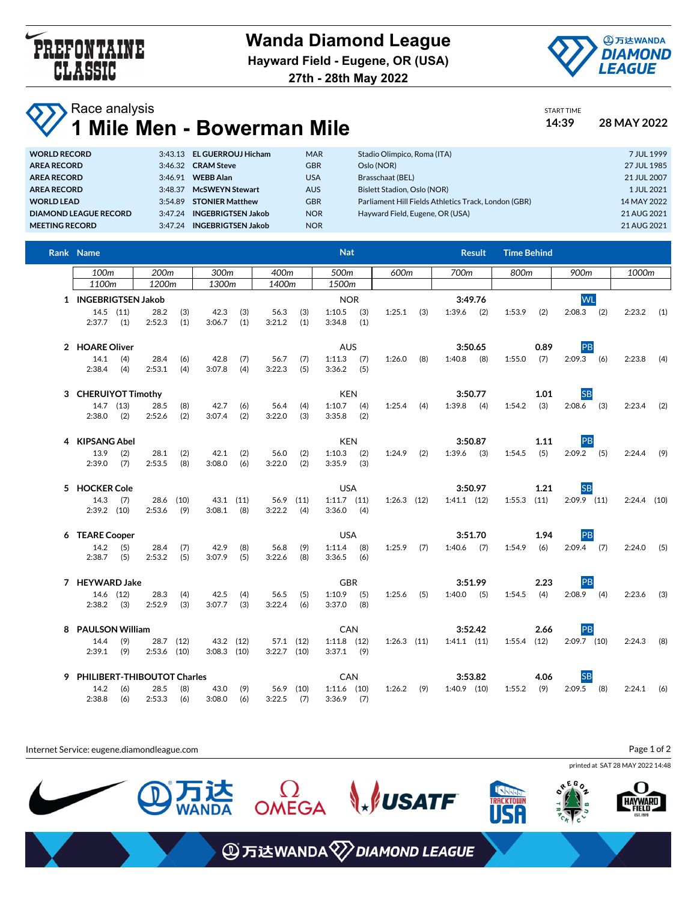

**27th - 28th May 2022**



START TIME

## **Race analysis 1 Mile Men - Bowerman Mile 14:39 28 MAY 2022**

| <b>WORLD RECORD</b>          | 3:43.13 EL GUERROUJ Hicham |   |
|------------------------------|----------------------------|---|
| <b>AREA RECORD</b>           | 3:46.32 CRAM Steve         |   |
| <b>AREA RECORD</b>           | 3:46.91 WEBB Alan          |   |
| <b>AREA RECORD</b>           | 3:48.37 McSWEYN Stewart    | L |
| <b>WORLD LEAD</b>            | 3:54.89 STONIER Matthew    |   |
| <b>DIAMOND LEAGUE RECORD</b> | 3:47.24 INGEBRIGTSEN Jakob | N |
| <b>MEETING RECORD</b>        | 3:47.24 INGEBRIGTSEN Jakob | N |
|                              |                            |   |

| WORLD RECORD          | 3:43.13 EL GUERROUJ Hicham        | <b>MAR</b> | Stadio Olimpico, Roma (ITA)                          | 7 JUL 1999  |
|-----------------------|-----------------------------------|------------|------------------------------------------------------|-------------|
| <b>AREA RECORD</b>    | 3:46.32 CRAM Steve                | GBR        | Oslo (NOR)                                           | 27 JUL 1985 |
| AREA RECORD           | 3:46.91 WEBB Alan                 | USA        | Brasschaat (BEL)                                     | 21 JUL 2007 |
| AREA RECORD           | <b>McSWEYN Stewart</b><br>3.48.37 | <b>AUS</b> | Bislett Stadion, Oslo (NOR)                          | 1 JUL 2021  |
| <b>WORLD LEAD</b>     | 3:54.89 STONIER Matthew           | GBR        | Parliament Hill Fields Athletics Track, London (GBR) | 14 MAY 2022 |
| DIAMOND LEAGUE RECORD | 3:47.24 INGEBRIGTSEN Jakob        | NOR.       | Hayward Field, Eugene, OR (USA)                      | 21 AUG 2021 |
| <b>MEETING RECORD</b> | 3:47.24 INGEBRIGTSEN Jakob        | <b>NOR</b> |                                                      | 21 AUG 2021 |

| Rank Name                     |            |                       |            |                            |            |                            |                  | <b>Nat</b>                      |            |                 |     |                 | <b>Result</b> | <b>Time Behind</b> |      |               |               |     |
|-------------------------------|------------|-----------------------|------------|----------------------------|------------|----------------------------|------------------|---------------------------------|------------|-----------------|-----|-----------------|---------------|--------------------|------|---------------|---------------|-----|
| 100m                          |            | 200 <sub>m</sub>      |            | 300m                       |            | 400m                       |                  | 500m                            |            | 600m            |     | 700m            |               | 800m               |      | 900m          | 1000m         |     |
| 1100m                         |            | 1200m                 |            | 1300m                      |            | 1400m                      |                  | 1500m                           |            |                 |     |                 |               |                    |      |               |               |     |
| 1 INGEBRIGTSEN Jakob          |            |                       |            |                            |            |                            |                  | <b>NOR</b>                      |            |                 |     |                 | 3:49.76       |                    |      | <b>WL</b>     |               |     |
| $14.5$ (11)<br>2:37.7         | (1)        | 28.2<br>2:52.3        | (3)<br>(1) | 42.3<br>3:06.7             | (3)<br>(1) | 56.3<br>3:21.2             | (3)<br>(1)       | 1:10.5<br>3:34.8                | (3)<br>(1) | 1:25.1          | (3) | 1:39.6          | (2)           | 1:53.9             | (2)  | $2:08.3$ (2)  | $2:23.2$ (1)  |     |
|                               |            |                       |            |                            |            |                            |                  |                                 |            |                 |     |                 |               |                    |      |               |               |     |
| 2 HOARE Oliver                |            |                       |            |                            |            |                            |                  | <b>AUS</b>                      |            |                 |     |                 | 3:50.65       |                    | 0.89 | PB            |               |     |
| 14.1<br>2:38.4                | (4)<br>(4) | 28.4<br>2:53.1        | (6)<br>(4) | 42.8<br>3:07.8             | (7)<br>(4) | 56.7<br>3:22.3             | (7)<br>(5)       | $1:11.3$ (7)<br>3:36.2          | (5)        | 1:26.0          | (8) | 1:40.8          | (8)           | 1:55.0             | (7)  | $2:09.3$ (6)  | 2:23.8        | (4) |
| 3 CHERUIYOT Timothy           |            |                       |            |                            |            |                            |                  | <b>KEN</b>                      |            |                 |     |                 | 3:50.77       |                    | 1.01 | <b>SB</b>     |               |     |
| 14.7 (13)                     |            | 28.5                  | (8)        | 42.7                       | (6)        | 56.4                       | (4)              | 1:10.7                          | (4)        | 1:25.4          | (4) | 1:39.8          | (4)           | 1:54.2             | (3)  | $2:08.6$ (3)  | 2:23.4        | (2) |
| 2:38.0                        | (2)        | 2:52.6                | (2)        | 3:07.4                     | (2)        | 3:22.0                     | (3)              | 3:35.8                          | (2)        |                 |     |                 |               |                    |      |               |               |     |
| 4 KIPSANG Abel                |            |                       |            |                            |            |                            |                  | <b>KEN</b>                      |            |                 |     |                 | 3:50.87       |                    | 1.11 | PB            |               |     |
| 13.9                          | (2)        | 28.1                  | (2)        | 42.1                       | (2)        | 56.0                       | (2)              | 1:10.3                          | (2)        | 1:24.9          | (2) | 1:39.6          | (3)           | 1:54.5             | (5)  | $2:09.2$ (5)  | 2:24.4        | (9) |
| 2:39.0                        | (7)        | 2:53.5                | (8)        | 3:08.0                     | (6)        | 3:22.0                     | (2)              | 3:35.9                          | (3)        |                 |     |                 |               |                    |      |               |               |     |
| 5 HOCKER Cole                 |            |                       |            |                            |            |                            |                  | <b>USA</b>                      |            |                 |     |                 | 3:50.97       |                    | 1.21 | <b>SB</b>     |               |     |
| 14.3<br>$2:39.2$ (10)         | (7)        | 28.6 (10)<br>2:53.6   | (9)        | 43.1 (11)<br>$3:08.1$ (8)  |            | 3:22.2                     | 56.9 (11)<br>(4) | $1:11.7$ $(11)$<br>$3:36.0$ (4) |            | $1:26.3$ $(12)$ |     | $1:41.1$ $(12)$ |               | $1:55.3$ (11)      |      | $2:09.9$ (11) | $2:24.4$ (10) |     |
| 6 TEARE Cooper                |            |                       |            |                            |            |                            |                  | <b>USA</b>                      |            |                 |     |                 | 3:51.70       |                    | 1.94 | PB            |               |     |
| 14.2                          | (5)        | 28.4                  | (7)        | 42.9                       | (8)        | 56.8                       | (9)              | 1:11.4                          | (8)        | 1:25.9          | (7) | 1:40.6          | (7)           | 1:54.9             | (6)  | $2:09.4$ (7)  | 2:24.0        | (5) |
| 2:38.7                        | (5)        | 2:53.2                | (5)        | 3:07.9                     | (5)        | 3:22.6                     | (8)              | 3:36.5                          | (6)        |                 |     |                 |               |                    |      |               |               |     |
| 7 HEYWARD Jake                |            |                       |            |                            |            |                            |                  | <b>GBR</b>                      |            |                 |     |                 | 3:51.99       |                    | 2.23 | PB            |               |     |
| 14.6 (12)                     |            | 28.3                  | (4)        | 42.5                       | (4)        | 56.5                       | (5)              | 1:10.9                          | (5)        | $1:25.6$ (5)    |     | 1:40.0          | (5)           | 1:54.5             | (4)  | $2:08.9$ (4)  | 2:23.6        | (3) |
| 2:38.2                        | (3)        | 2:52.9                | (3)        | 3:07.7                     | (3)        | 3:22.4                     | (6)              | 3:37.0                          | (8)        |                 |     |                 |               |                    |      |               |               |     |
| 8 PAULSON William             |            |                       |            |                            |            |                            |                  | CAN                             |            |                 |     |                 | 3:52.42       |                    | 2.66 | PB            |               |     |
| 14.4<br>2:39.1                | (9)<br>(9) | 28.7<br>$2:53.6$ (10) | (12)       | 43.2 (12)<br>$3:08.3$ (10) |            | 57.1 (12)<br>$3:22.7$ (10) |                  | $1:11.8$ (12)<br>$3:37.1$ (9)   |            | $1:26.3$ $(11)$ |     | $1:41.1$ $(11)$ |               | $1:55.4$ (12)      |      | $2:09.7$ (10) | 2:24.3        | (8) |
| 9 PHILIBERT-THIBOUTOT Charles |            |                       |            |                            |            |                            |                  | CAN                             |            |                 |     |                 | 3:53.82       |                    | 4.06 | <b>SB</b>     |               |     |
| 14.2                          | (6)        | 28.5                  | (8)        | 43.0                       | (9)        |                            | 56.9 (10)        | $1:11.6$ (10)                   |            | $1:26.2$ (9)    |     | $1:40.9$ (10)   |               | 1:55.2             | (9)  | $2:09.5$ (8)  | 2:24.1        | (6) |
| 2:38.8                        | (6)        | 2:53.3                | (6)        | 3:08.0                     | (6)        | $3:22.5$ (7)               |                  | $3:36.9$ (7)                    |            |                 |     |                 |               |                    |      |               |               |     |

Internet Service: eugene.diamondleague.com

Page 1 of 2

**HAYWARD** 



**ECKTOWN** 



**WSATF** 

 $\Omega$ OMEGA